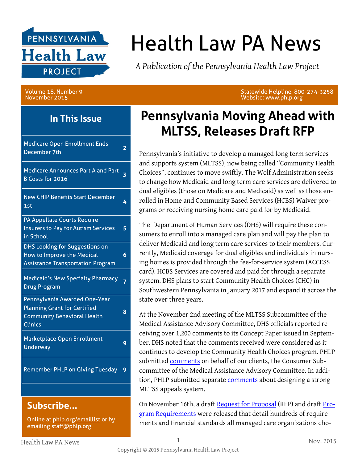

# Health Law PA News

*A Publication of the Pennsylvania Health Law Project*

Volume 18, Number 9 November 2015

**In This Issue**

| <b>Medicare Open Enrollment Ends</b><br>December 7th                                                                         | 2 |
|------------------------------------------------------------------------------------------------------------------------------|---|
| <b>Medicare Announces Part A and Part</b><br><b>B Costs for 2016</b>                                                         | 3 |
| <b>New CHIP Benefits Start December</b><br>1st                                                                               | 4 |
| PA Appellate Courts Require<br><b>Insurers to Pay for Autism Services</b><br>in School                                       | 5 |
| <b>DHS Looking for Suggestions on</b><br>How to Improve the Medical<br><b>Assistance Transportation Program</b>              | 6 |
| <b>Medicaid's New Specialty Pharmacy</b><br><b>Drug Program</b>                                                              | 7 |
| Pennsylvania Awarded One-Year<br><b>Planning Grant for Certified</b><br><b>Community Behavioral Health</b><br><b>Clinics</b> | 8 |
| Marketplace Open Enrollment<br><b>Underway</b>                                                                               | 9 |
| <b>Remember PHLP on Giving Tuesday</b>                                                                                       | 9 |
|                                                                                                                              |   |

#### **Subscribe...**

Online at [phlp.org/emaillist](http://www.phlp.org/home-page/emaillist) or by emailing [staff@phlp.org](mailto:staff@phlp.org)

### **Pennsylvania Moving Ahead with MLTSS, Releases Draft RFP**

Statewide Helpline: 800-274-3258

Website: www.phlp.org

Pennsylvania's initiative to develop a managed long term services and supports system (MLTSS), now being called "Community Health Choices", continues to move swiftly. The Wolf Administration seeks to change how Medicaid and long term care services are delivered to dual eligibles (those on Medicare and Medicaid) as well as those enrolled in Home and Community Based Services (HCBS) Waiver programs or receiving nursing home care paid for by Medicaid.

The Department of Human Services (DHS) will require these consumers to enroll into a managed care plan and will pay the plan to deliver Medicaid and long term care services to their members. Currently, Medicaid coverage for dual eligibles and individuals in nursing homes is provided through the fee-for-service system (ACCESS card). HCBS Services are covered and paid for through a separate system. DHS plans to start Community Health Choices (CHC) in Southwestern Pennsylvania in January 2017 and expand it across the state over three years.

At the November 2nd meeting of the MLTSS Subcommittee of the Medical Assistance Advisory Committee, DHS officials reported receiving over 1,200 comments to its Concept Paper issued in September. DHS noted that the comments received were considered as it continues to develop the Community Health Choices program. PHLP submitted [comments](http://www.phlp.org/wp-content/uploads/2015/11/Consumer-Sub-Comments-on-MLTSS-Concept-Paper.pdf) on behalf of our clients, the Consumer Subcommittee of the Medical Assistance Advisory Committee. In addition, PHLP submitted separate [comments](http://www.phlp.org/wp-content/uploads/2015/11/PHLP-October-2015-Comments-on-MLTSS-Appeals.pdf) about designing a strong MLTSS appeals system.

On November 16th, a draft [Request for Proposal](http://www.dhs.pa.gov/cs/groups/webcontent/documents/document/c_215952.pdf) (RFP) and draft [Pro](http://www.dhs.pa.gov/cs/groups/webcontent/documents/document/c_215951.pdf)[gram Requirements](http://www.dhs.pa.gov/cs/groups/webcontent/documents/document/c_215951.pdf) were released that detail hundreds of requirements and financial standards all managed care organizations cho-

Health Law PA News 1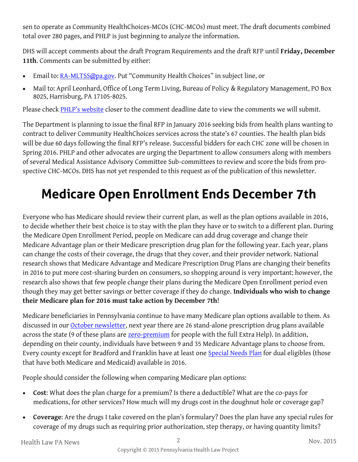sen to operate as Community HealthChoices-MCOs (CHC-MCOs) must meet. The draft documents combined total over 280 pages, and PHLP is just beginning to analyze the information.

DHS will accept comments about the draft Program Requirements and the draft RFP until **Friday, December 11th**. Comments can be submitted by either:

- Email to: [RA-MLTSS@pa.gov](mailto:RA-MLTSS@pa.gov). Put "Community Health Choices" in subject line, or
- Mail to: April Leonhard, Office of Long Term Living, Bureau of Policy & Regulatory Management, PO Box 8025, Harrisburg, PA 17105-8025.

Please check [PHLP's website](http://www.phlp.org/) closer to the comment deadline date to view the comments we will submit.

The Department is planning to issue the final RFP in January 2016 seeking bids from health plans wanting to contract to deliver Community HealthChoices services across the state's 67 counties. The health plan bids will be due 60 days following the final RFP's release. Successful bidders for each CHC zone will be chosen in Spring 2016. PHLP and other advocates are urging the Department to allow consumers along with members of several Medical Assistance Advisory Committee Sub-committees to review and score the bids from prospective CHC-MCOs. DHS has not yet responded to this request as of the publication of this newsletter.

## **Medicare Open Enrollment Ends December 7th**

Everyone who has Medicare should review their current plan, as well as the plan options available in 2016, to decide whether their best choice is to stay with the plan they have or to switch to a different plan. During the Medicare Open Enrollment Period, people on Medicare can add drug coverage and change their Medicare Advantage plan or their Medicare prescription drug plan for the following year. Each year, plans can change the costs of their coverage, the drugs that they cover, and their provider network. National research shows that Medicare Advantage and Medicare Prescription Drug Plans are changing their benefits in 2016 to put more cost-sharing burden on consumers, so shopping around is very important; however, the research also shows that few people change their plans during the Medicare Open Enrollment period even though they may get better savings or better coverage if they do change. **Individuals who wish to change their Medicare plan for 2016 must take action by December 7th**!

Medicare beneficiaries in Pennsylvania continue to have many Medicare plan options available to them. As discussed in our [October newsletter,](http://www.phlp.org/wp-content/uploads/2015/10/October-2015-HLN-Final.pdf) next year there are 26 stand-alone prescription drug plans available across the state (9 of these plans are **[zero-premium](http://www.phlp.org/wp-content/uploads/2015/10/Part-D-Zero-Premium-Plans-2016.pdf)** for people with the full Extra Help). In addition, depending on their county, individuals have between 9 and 35 Medicare Advantage plans to choose from. Every county except for Bradford and Franklin have at least one [Special Needs Plan](http://www.phlp.org/wp-content/uploads/2015/10/D-SNP-Listing-2016.pdf) for dual eligibles (those that have both Medicare and Medicaid) available in 2016.

People should consider the following when comparing Medicare plan options:

- **Cost**: What does the plan charge for a premium? Is there a deductible? What are the co-pays for medications, for other services? How much will my drugs cost in the doughnut hole or coverage gap?
- **Coverage**: Are the drugs I take covered on the plan's formulary? Does the plan have any special rules for coverage of my drugs such as requiring prior authorization, step therapy, or having quantity limits?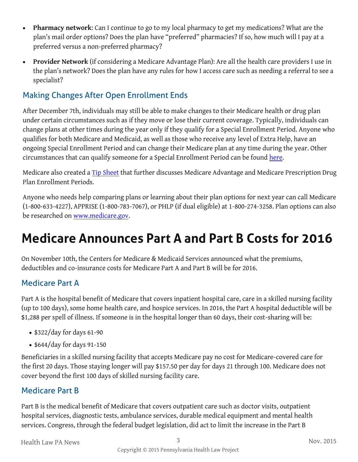- **Pharmacy network**: Can I continue to go to my local pharmacy to get my medications? What are the plan's mail order options? Does the plan have "preferred" pharmacies? If so, how much will I pay at a preferred versus a non-preferred pharmacy?
- **Provider Network** (if considering a Medicare Advantage Plan): Are all the health care providers I use in the plan's network? Does the plan have any rules for how I access care such as needing a referral to see a specialist?

#### Making Changes After Open Enrollment Ends

After December 7th, individuals may still be able to make changes to their Medicare health or drug plan under certain circumstances such as if they move or lose their current coverage. Typically, individuals can change plans at other times during the year only if they qualify for a Special Enrollment Period. Anyone who qualifies for both Medicare and Medicaid, as well as those who receive any level of Extra Help, have an ongoing Special Enrollment Period and can change their Medicare plan at any time during the year. Other circumstances that can qualify someone for a Special Enrollment Period can be found [here.](https://www.medicare.gov/sign-up-change-plans/when-can-i-join-a-health-or-drug-plan/special-circumstances/join-plan-special-circumstances.html) 

Medicare also created a [Tip Sheet](https://www.medicare.gov/Pubs/pdf/11219.pdf) that further discusses Medicare Advantage and Medicare Prescription Drug Plan Enrollment Periods.

Anyone who needs help comparing plans or learning about their plan options for next year can call Medicare (1-800-633-4227), APPRISE (1-800-783-7067), or PHLP (if dual eligible) at 1-800-274-3258. Plan options can also be researched on [www.medicare.gov.](https://www.medicare.gov/) 

# **Medicare Announces Part A and Part B Costs for 2016**

On November 10th, the Centers for Medicare & Medicaid Services announced what the premiums, deductibles and co-insurance costs for Medicare Part A and Part B will be for 2016.

#### Medicare Part A

Part A is the hospital benefit of Medicare that covers inpatient hospital care, care in a skilled nursing facility (up to 100 days), some home health care, and hospice services. In 2016, the Part A hospital deductible will be \$1,288 per spell of illness. If someone is in the hospital longer than 60 days, their cost-sharing will be:

- $\cdot$  \$322/day for days 61-90
- \$644/day for days 91-150

Beneficiaries in a skilled nursing facility that accepts Medicare pay no cost for Medicare-covered care for the first 20 days. Those staying longer will pay \$157.50 per day for days 21 through 100. Medicare does not cover beyond the first 100 days of skilled nursing facility care.

#### Medicare Part B

Part B is the medical benefit of Medicare that covers outpatient care such as doctor visits, outpatient hospital services, diagnostic tests, ambulance services, durable medical equipment and mental health services. Congress, through the federal budget legislation, did act to limit the increase in the Part B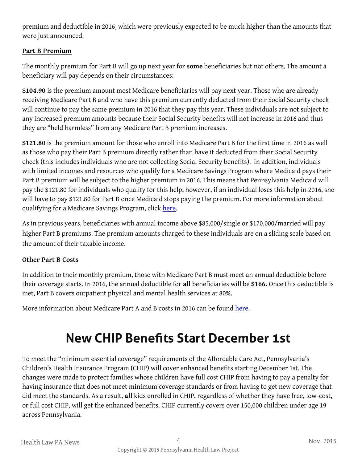premium and deductible in 2016, which were previously expected to be much higher than the amounts that were just announced.

#### **Part B Premium**

The monthly premium for Part B will go up next year for **some** beneficiaries but not others. The amount a beneficiary will pay depends on their circumstances:

**\$104.90** is the premium amount most Medicare beneficiaries will pay next year. Those who are already receiving Medicare Part B and who have this premium currently deducted from their Social Security check will continue to pay the same premium in 2016 that they pay this year. These individuals are not subject to any increased premium amounts because their Social Security benefits will not increase in 2016 and thus they are "held harmless" from any Medicare Part B premium increases.

**\$121.80** is the premium amount for those who enroll into Medicare Part B for the first time in 2016 as well as those who pay their Part B premium directly rather than have it deducted from their Social Security check (this includes individuals who are not collecting Social Security benefits). In addition, individuals with limited incomes and resources who qualify for a Medicare Savings Program where Medicaid pays their Part B premium will be subject to the higher premium in 2016. This means that Pennsylvania Medicaid will pay the \$121.80 for individuals who qualify for this help; however, if an individual loses this help in 2016, she will have to pay \$121.80 for Part B once Medicaid stops paying the premium. For more information about qualifying for a Medicare Savings Program, click here.

As in previous years, beneficiaries with annual income above \$85,000/single or \$170,000/married will pay higher Part B premiums. The premium amounts charged to these individuals are on a sliding scale based on the amount of their taxable income.

#### **Other Part B Costs**

In addition to their monthly premium, those with Medicare Part B must meet an annual deductible before their coverage starts. In 2016, the annual deductible for **all** beneficiaries will be **\$166.** Once this deductible is met, Part B covers outpatient physical and mental health services at 80%.

More information about Medicare Part A and B costs in 2016 can be found [here.](https://www.cms.gov/Newsroom/MediaReleaseDatabase/Press-releases/2015-Press-releases-items/2015-11-10.html) 

### **New CHIP Benefits Start December 1st**

To meet the "minimum essential coverage" requirements of the Affordable Care Act, Pennsylvania's Children's Health Insurance Program (CHIP) will cover enhanced benefits starting December 1st. The changes were made to protect families whose children have full cost CHIP from having to pay a penalty for having insurance that does not meet minimum coverage standards or from having to get new coverage that did meet the standards. As a result, **all** kids enrolled in CHIP, regardless of whether they have free, low-cost, or full cost CHIP, will get the enhanced benefits. CHIP currently covers over 150,000 children under age 19 across Pennsylvania.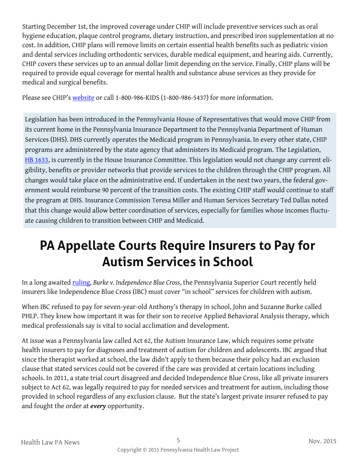Starting December 1st, the improved coverage under CHIP will include preventive services such as oral hygiene education, plaque control programs, dietary instruction, and prescribed iron supplementation at no cost. In addition, CHIP plans will remove limits on certain essential health benefits such as pediatric vision and dental services including orthodontic services, durable medical equipment, and hearing aids. Currently, CHIP covers these services up to an annual dollar limit depending on the service. Finally, CHIP plans will be required to provide equal coverage for mental health and substance abuse services as they provide for medical and surgical benefits.

Please see CHIP's [website](http://www.chipcoverspakids.com/) or call 1-800-986-KIDS (1-800-986-5437) for more information.

Legislation has been introduced in the Pennsylvania House of Representatives that would move CHIP from its current home in the Pennsylvania Insurance Department to the Pennsylvania Department of Human Services (DHS). DHS currently operates the Medicaid program in Pennsylvania. In every other state, CHIP programs are administered by the state agency that administers its Medicaid program. The Legislation, [HB 1633,](http://www.legis.state.pa.us/cfdocs/billinfo/billinfo.cfm?sYear=2015&sInd=0&body=H&type=B&bn=1633) is currently in the House Insurance Committee. This legislation would not change any current eligibility, benefits or provider networks that provide services to the children through the CHIP program. All changes would take place on the administrative end. If undertaken in the next two years, the federal government would reimburse 90 percent of the transition costs. The existing CHIP staff would continue to staff the program at DHS. Insurance Commission Teresa Miller and Human Services Secretary Ted Dallas noted that this change would allow better coordination of services, especially for families whose incomes fluctuate causing children to transition between CHIP and Medicaid.

# **PA Appellate Courts Require Insurers to Pay for Autism Services in School**

In a long awaited [ruling,](http://www.pacourts.us/assets/opinions/Superior/out/J-A11007-15o%20-%201024350135688889.pdf?cb=1) *Burke v. Independence Blue Cross*, the Pennsylvania Superior Court recently held insurers like Independence Blue Cross (IBC) must cover "in school" services for children with autism.

When IBC refused to pay for seven-year-old Anthony's therapy in school, John and Suzanne Burke called PHLP. They knew how important it was for their son to receive Applied Behavioral Analysis therapy, which medical professionals say is vital to social acclimation and development.

At issue was a Pennsylvania law called Act 62, the Autism Insurance Law, which requires some private health insurers to pay for diagnoses and treatment of autism for children and adolescents. IBC argued that since the therapist worked at school, the law didn't apply to them because their policy had an exclusion clause that stated services could not be covered if the care was provided at certain locations including schools. In 2011, a state trial court disagreed and decided Independence Blue Cross, like all private insurers subject to Act 62, was legally required to pay for needed services and treatment for autism, including those provided in school regardless of any exclusion clause. But the state's largest private insurer refused to pay and fought the order at *every* opportunity.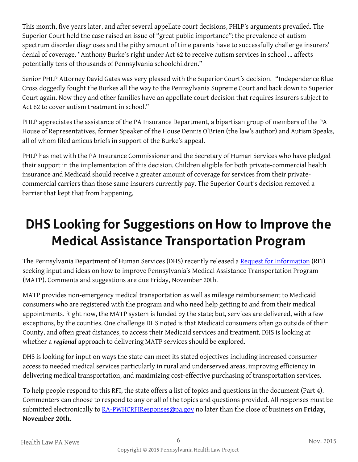This month, five years later, and after several appellate court decisions, PHLP's arguments prevailed. The Superior Court held the case raised an issue of "great public importance": the prevalence of autismspectrum disorder diagnoses and the pithy amount of time parents have to successfully challenge insurers' denial of coverage. "Anthony Burke's right under Act 62 to receive autism services in school … affects potentially tens of thousands of Pennsylvania schoolchildren."

Senior PHLP Attorney David Gates was very pleased with the Superior Court's decision. "Independence Blue Cross doggedly fought the Burkes all the way to the Pennsylvania Supreme Court and back down to Superior Court again. Now they and other families have an appellate court decision that requires insurers subject to Act 62 to cover autism treatment in school."

PHLP appreciates the assistance of the PA Insurance Department, a bipartisan group of members of the PA House of Representatives, former Speaker of the House Dennis O'Brien (the law's author) and Autism Speaks, all of whom filed amicus briefs in support of the Burke's appeal.

PHLP has met with the PA Insurance Commissioner and the Secretary of Human Services who have pledged their support in the implementation of this decision. Children eligible for both private-commercial health insurance and Medicaid should receive a greater amount of coverage for services from their privatecommercial carriers than those same insurers currently pay. The Superior Court's decision removed a barrier that kept that from happening.

# **DHS Looking for Suggestions on How to Improve the Medical Assistance Transportation Program**

The Pennsylvania Department of Human Services (DHS) recently released a [Request for Information](http://www.emarketplace.state.pa.us/FileDownload.aspx?file=RFI%20DHS%20MATP%202015/Solicitation_0.pdf) (RFI) seeking input and ideas on how to improve Pennsylvania's Medical Assistance Transportation Program (MATP). Comments and suggestions are due Friday, November 20th.

MATP provides non-emergency medical transportation as well as mileage reimbursement to Medicaid consumers who are registered with the program and who need help getting to and from their medical appointments. Right now, the MATP system is funded by the state; but, services are delivered, with a few exceptions, by the counties. One challenge DHS noted is that Medicaid consumers often go outside of their County, and often great distances, to access their Medicaid services and treatment. DHS is looking at whether a *regional* approach to delivering MATP services should be explored.

DHS is looking for input on ways the state can meet its stated objectives including increased consumer access to needed medical services particularly in rural and underserved areas, improving efficiency in delivering medical transportation, and maximizing cost-effective purchasing of transportation services.

To help people respond to this RFI, the state offers a list of topics and questions in the document (Part 4). Commenters can choose to respond to any or all of the topics and questions provided. All responses must be submitted electronically to [RA-PWHCRFIResponses@pa.gov](mailto:RA-PWHCRFIResponses@pa.gov) no later than the close of business on **Friday, November 20th**.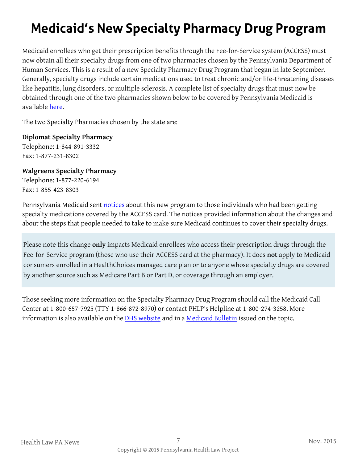# **Medicaid's New Specialty Pharmacy Drug Program**

Medicaid enrollees who get their prescription benefits through the Fee-for-Service system (ACCESS) must now obtain all their specialty drugs from one of two pharmacies chosen by the Pennsylvania Department of Human Services. This is a result of a new Specialty Pharmacy Drug Program that began in late September. Generally, specialty drugs include certain medications used to treat chronic and/or life-threatening diseases like hepatitis, lung disorders, or multiple sclerosis. A complete list of specialty drugs that must now be obtained through one of the two pharmacies shown below to be covered by Pennsylvania Medicaid is available [here.](http://www.dhs.state.pa.us/cs/groups/webcontent/documents/bulletin_admin/c_071210.pdf) 

The two Specialty Pharmacies chosen by the state are:

#### **Diplomat Specialty Pharmacy**

Telephone: 1-844-891-3332 Fax: 1-877-231-8302

#### **Walgreens Specialty Pharmacy**

Telephone: 1-877-220-6194 Fax: 1-855-423-8303

Pennsylvania Medicaid sent [notices](http://www.dhs.pa.gov/cs/groups/webcontent/documents/document/c_207051.pdf) about this new program to those individuals who had been getting specialty medications covered by the ACCESS card. The notices provided information about the changes and about the steps that people needed to take to make sure Medicaid continues to cover their specialty drugs.

Please note this change **only** impacts Medicaid enrollees who access their prescription drugs through the Fee-for-Service program (those who use their ACCESS card at the pharmacy). It does **not** apply to Medicaid consumers enrolled in a HealthChoices managed care plan or to anyone whose specialty drugs are covered by another source such as Medicare Part B or Part D, or coverage through an employer.

Those seeking more information on the Specialty Pharmacy Drug Program should call the Medicaid Call Center at 1-800-657-7925 (TTY 1-866-872-8970) or contact PHLP's Helpline at 1-800-274-3258. More information is also available on the **DHS** website and in a [Medicaid Bulletin](http://www.dhs.state.pa.us/cs/groups/webcontent/documents/bulletin_admin/c_207463.pdf) issued on the topic.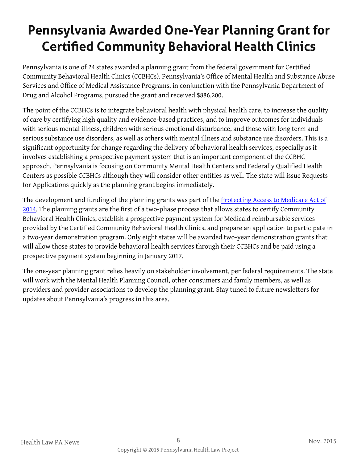# **Pennsylvania Awarded One-Year Planning Grant for Certified Community Behavioral Health Clinics**

Pennsylvania is one of 24 states awarded a planning grant from the federal government for Certified Community Behavioral Health Clinics (CCBHCs). Pennsylvania's Office of Mental Health and Substance Abuse Services and Office of Medical Assistance Programs, in conjunction with the Pennsylvania Department of Drug and Alcohol Programs, pursued the grant and received \$886,200.

The point of the CCBHCs is to integrate behavioral health with physical health care, to increase the quality of care by certifying high quality and evidence-based practices, and to improve outcomes for individuals with serious mental illness, children with serious emotional disturbance, and those with long term and serious substance use disorders, as well as others with mental illness and substance use disorders. This is a significant opportunity for change regarding the delivery of behavioral health services, especially as it involves establishing a prospective payment system that is an important component of the CCBHC approach. Pennsylvania is focusing on Community Mental Health Centers and Federally Qualified Health Centers as possible CCBHCs although they will consider other entities as well. The state will issue Requests for Applications quickly as the planning grant begins immediately.

The development and funding of the planning grants was part of the [Protecting Access to Medicare Act of](http://www.gpo.gov/fdsys/pkg/BILLS-113hr4302enr/pdf/BILLS-113hr4302enr.pdf)  [2014.](http://www.gpo.gov/fdsys/pkg/BILLS-113hr4302enr/pdf/BILLS-113hr4302enr.pdf) The planning grants are the first of a two-phase process that allows states to certify Community Behavioral Health Clinics, establish a prospective payment system for Medicaid reimbursable services provided by the Certified Community Behavioral Health Clinics, and prepare an application to participate in a two-year demonstration program. Only eight states will be awarded two-year demonstration grants that will allow those states to provide behavioral health services through their CCBHCs and be paid using a prospective payment system beginning in January 2017.

The one-year planning grant relies heavily on stakeholder involvement, per federal requirements. The state will work with the Mental Health Planning Council, other consumers and family members, as well as providers and provider associations to develop the planning grant. Stay tuned to future newsletters for updates about Pennsylvania's progress in this area.